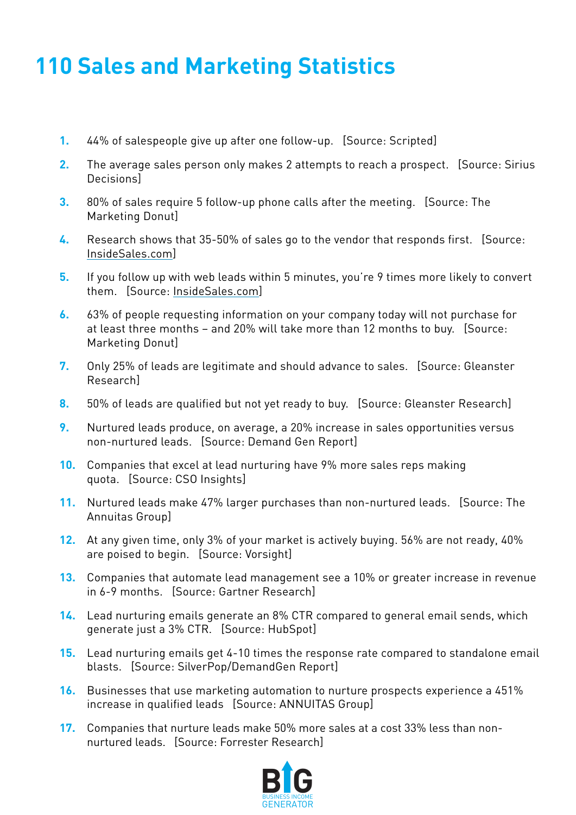## **110 Sales and Marketing Statistics**

- **1.** 44% of salespeople give up after one follow-up. [Source: Scripted]
- **2.** The average sales person only makes 2 attempts to reach a prospect. [Source: Sirius Decisions]
- **3.** 80% of sales require 5 follow-up phone calls after the meeting. [Source: The Marketing Donut]
- **4.** Research shows that 35-50% of sales go to the vendor that responds first. [Source: InsideSales.com]
- **5.** If you follow up with web leads within 5 minutes, you're 9 times more likely to convert them. [Source: InsideSales.com]
- **6.** 63% of people requesting information on your company today will not purchase for at least three months – and 20% will take more than 12 months to buy. [Source: Marketing Donut]
- **7.** Only 25% of leads are legitimate and should advance to sales. [Source: Gleanster Research]
- **8.** 50% of leads are qualified but not yet ready to buy. [Source: Gleanster Research]
- **9.** Nurtured leads produce, on average, a 20% increase in sales opportunities versus non-nurtured leads. [Source: Demand Gen Report]
- **10.** Companies that excel at lead nurturing have 9% more sales reps making quota. [Source: CSO Insights]
- **11.** Nurtured leads make 47% larger purchases than non-nurtured leads. [Source: The Annuitas Group]
- **12.** At any given time, only 3% of your market is actively buying. 56% are not ready, 40% are poised to begin. [Source: Vorsight]
- **13.** Companies that automate lead management see a 10% or greater increase in revenue in 6-9 months. [Source: Gartner Research]
- **14.** Lead nurturing emails generate an 8% CTR compared to general email sends, which generate just a 3% CTR. [Source: HubSpot]
- **15.** Lead nurturing emails get 4-10 times the response rate compared to standalone email blasts. [Source: SilverPop/DemandGen Report]
- **16.** Businesses that use marketing automation to nurture prospects experience a 451% increase in qualified leads [Source: ANNUITAS Group]
- **17.** Companies that nurture leads make 50% more sales at a cost 33% less than nonnurtured leads. [Source: Forrester Research]

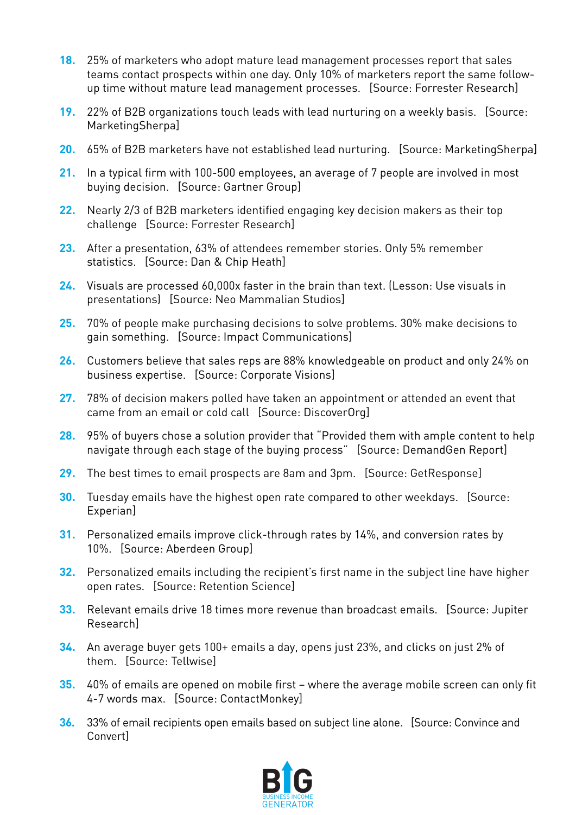- **18.** 25% of marketers who adopt mature lead management processes report that sales teams contact prospects within one day. Only 10% of marketers report the same followup time without mature lead management processes. [Source: Forrester Research]
- **19.** 22% of B2B organizations touch leads with lead nurturing on a weekly basis. [Source: MarketingSherpa]
- **20.** 65% of B2B marketers have not established lead nurturing. [Source: MarketingSherpa]
- **21.** In a typical firm with 100-500 employees, an average of 7 people are involved in most buying decision. [Source: Gartner Group]
- **22.** Nearly 2/3 of B2B marketers identified engaging key decision makers as their top challenge [Source: Forrester Research]
- **23.** After a presentation, 63% of attendees remember stories. Only 5% remember statistics. [Source: Dan & Chip Heath]
- **24.** Visuals are processed 60,000x faster in the brain than text. (Lesson: Use visuals in presentations) [Source: Neo Mammalian Studios]
- **25.** 70% of people make purchasing decisions to solve problems. 30% make decisions to gain something. [Source: Impact Communications]
- **26.** Customers believe that sales reps are 88% knowledgeable on product and only 24% on business expertise. [Source: Corporate Visions]
- **27.** 78% of decision makers polled have taken an appointment or attended an event that came from an email or cold call [Source: DiscoverOrg]
- **28.** 95% of buyers chose a solution provider that "Provided them with ample content to help navigate through each stage of the buying process" [Source: DemandGen Report]
- **29.** The best times to email prospects are 8am and 3pm. [Source: GetResponse]
- **30.** Tuesday emails have the highest open rate compared to other weekdays. [Source: Experian]
- **31.** Personalized emails improve click-through rates by 14%, and conversion rates by 10%. [Source: Aberdeen Group]
- **32.** Personalized emails including the recipient's first name in the subject line have higher open rates. [Source: Retention Science]
- **33.** Relevant emails drive 18 times more revenue than broadcast emails. [Source: Jupiter Research]
- **34.** An average buyer gets 100+ emails a day, opens just 23%, and clicks on just 2% of them. [Source: Tellwise]
- **35.** 40% of emails are opened on mobile first where the average mobile screen can only fit 4-7 words max. [Source: ContactMonkey]
- **36.** 33% of email recipients open emails based on subject line alone. [Source: Convince and Convert]

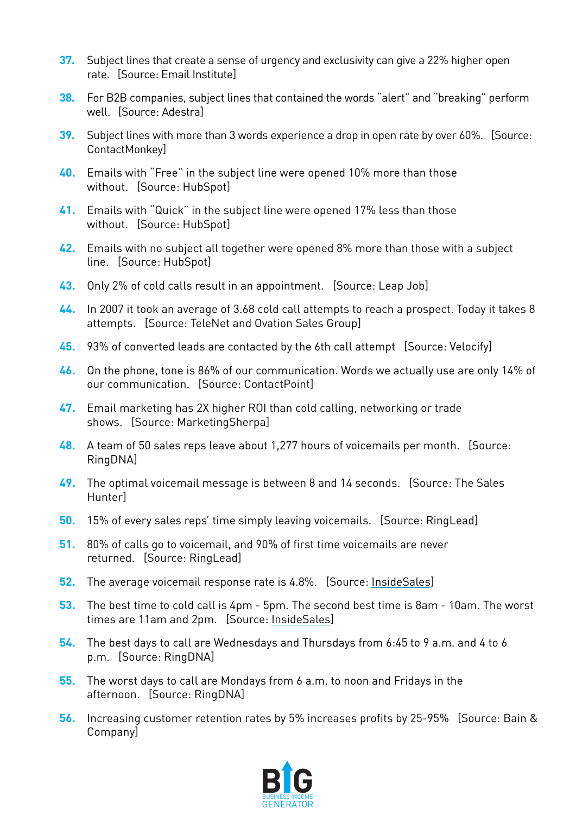- **37.** Subject lines that create a sense of urgency and exclusivity can give a 22% higher open rate. [Source: Email Institute]
- **38.** For B2B companies, subject lines that contained the words "alert" and "breaking" perform well. [Source: Adestra]
- **39.** Subject lines with more than 3 words experience a drop in open rate by over 60%. [Source: ContactMonkey]
- **40.** Emails with "Free" in the subject line were opened 10% more than those without. [Source: HubSpot]
- **41.** Emails with "Quick" in the subject line were opened 17% less than those without. [Source: HubSpot]
- **42.** Emails with no subject all together were opened 8% more than those with a subject line. [Source: HubSpot]
- **43.** Only 2% of cold calls result in an appointment. [Source: Leap Job]
- **44.** In 2007 it took an average of 3.68 cold call attempts to reach a prospect. Today it takes 8 attempts. [Source: TeleNet and Ovation Sales Group]
- **45.** 93% of converted leads are contacted by the 6th call attempt [Source: Velocify]
- **46.** On the phone, tone is 86% of our communication. Words we actually use are only 14% of our communication. [Source: ContactPoint]
- **47.** Email marketing has 2X higher ROI than cold calling, networking or trade shows. [Source: MarketingSherpa]
- **48.** A team of 50 sales reps leave about 1,277 hours of voicemails per month. [Source: RingDNA]
- **49.** The optimal voicemail message is between 8 and 14 seconds. [Source: The Sales Hunter]
- **50.** 15% of every sales reps' time simply leaving voicemails. [Source: RingLead]
- **51.** 80% of calls go to voicemail, and 90% of first time voicemails are never returned. [Source: RingLead]
- **52.** The average voicemail response rate is 4.8%. [Source: InsideSales]
- **53.** The best time to cold call is 4pm 5pm. The second best time is 8am 10am. The worst times are 11am and 2pm. [Source: InsideSales]
- **54.** The best days to call are Wednesdays and Thursdays from 6:45 to 9 a.m. and 4 to 6 p.m. [Source: RingDNA]
- **55.** The worst days to call are Mondays from 6 a.m. to noon and Fridays in the afternoon. [Source: RingDNA]
- **56.** Increasing customer retention rates by 5% increases profits by 25-95% [Source: Bain & Company]

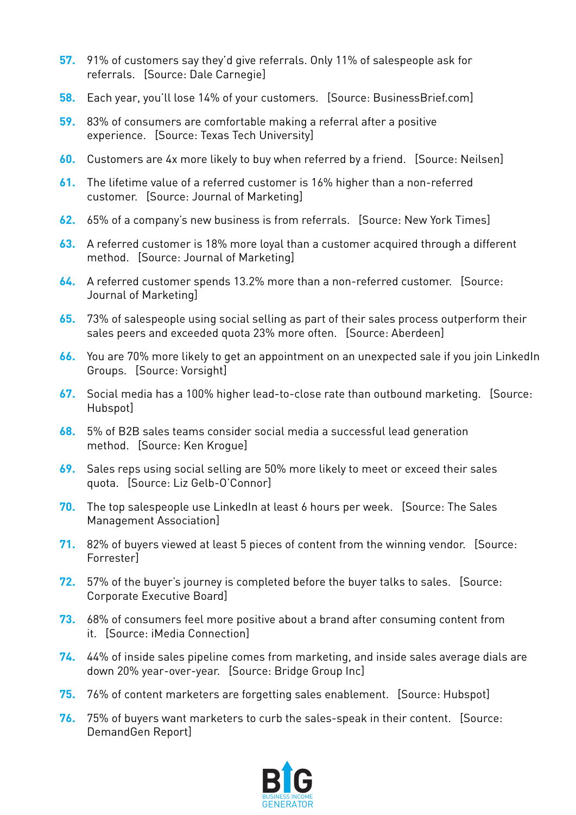- **57.** 91% of customers say they'd give referrals. Only 11% of salespeople ask for referrals. [Source: Dale Carnegie]
- **58.** Each year, you'll lose 14% of your customers. [Source: BusinessBrief.com]
- **59.** 83% of consumers are comfortable making a referral after a positive experience. [Source: Texas Tech University]
- **60.** Customers are 4x more likely to buy when referred by a friend. [Source: Neilsen]
- **61.** The lifetime value of a referred customer is 16% higher than a non-referred customer. [Source: Journal of Marketing]
- **62.** 65% of a company's new business is from referrals. [Source: New York Times]
- **63.** A referred customer is 18% more loyal than a customer acquired through a different method. [Source: Journal of Marketing]
- **64.** A referred customer spends 13.2% more than a non-referred customer. [Source: Journal of Marketing]
- **65.** 73% of salespeople using social selling as part of their sales process outperform their sales peers and exceeded quota 23% more often. [Source: Aberdeen]
- **66.** You are 70% more likely to get an appointment on an unexpected sale if you join LinkedIn Groups. [Source: Vorsight]
- **67.** Social media has a 100% higher lead-to-close rate than outbound marketing. [Source: Hubspot]
- **68.** 5% of B2B sales teams consider social media a successful lead generation method. [Source: Ken Krogue]
- **69.** Sales reps using social selling are 50% more likely to meet or exceed their sales quota. [Source: Liz Gelb-O'Connor]
- **70.** The top salespeople use LinkedIn at least 6 hours per week. [Source: The Sales Management Association]
- **71.** 82% of buyers viewed at least 5 pieces of content from the winning vendor. [Source: Forrester]
- **72.** 57% of the buyer's journey is completed before the buyer talks to sales. [Source: Corporate Executive Board]
- **73.** 68% of consumers feel more positive about a brand after consuming content from it. [Source: iMedia Connection]
- **74.** 44% of inside sales pipeline comes from marketing, and inside sales average dials are down 20% year-over-year. [Source: Bridge Group Inc]
- **75.** 76% of content marketers are forgetting sales enablement. [Source: Hubspot]
- **76.** 75% of buyers want marketers to curb the sales-speak in their content. [Source: DemandGen Report]

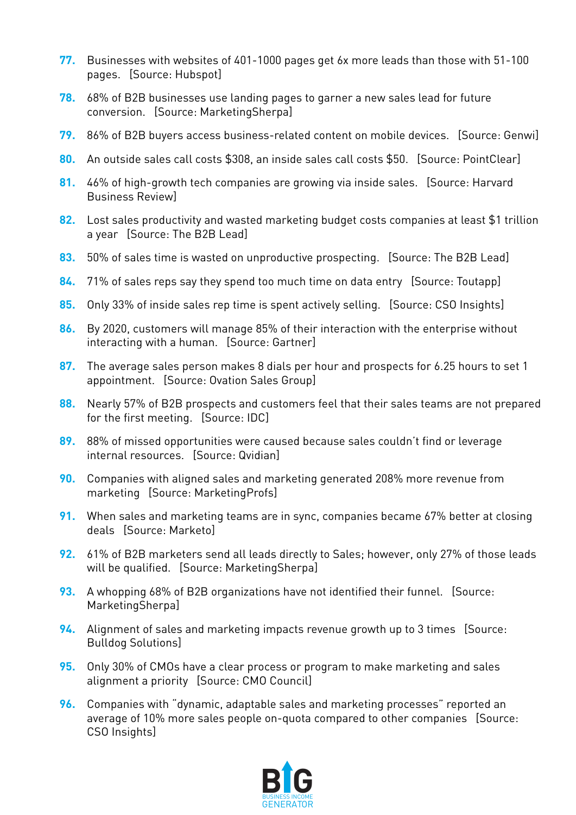- **77.** Businesses with websites of 401-1000 pages get 6x more leads than those with 51-100 pages. [Source: Hubspot]
- **78.** 68% of B2B businesses use landing pages to garner a new sales lead for future conversion. [Source: MarketingSherpa]
- **79.** 86% of B2B buyers access business-related content on mobile devices. [Source: Genwi]
- **80.** An outside sales call costs \$308, an inside sales call costs \$50. [Source: PointClear]
- **81.** 46% of high-growth tech companies are growing via inside sales. [Source: Harvard Business Review]
- **82.** Lost sales productivity and wasted marketing budget costs companies at least \$1 trillion a year [Source: The B2B Lead]
- **83.** 50% of sales time is wasted on unproductive prospecting. [Source: The B2B Lead]
- **84.** 71% of sales reps say they spend too much time on data entry [Source: Toutapp]
- **85.** Only 33% of inside sales rep time is spent actively selling. [Source: CSO Insights]
- **86.** By 2020, customers will manage 85% of their interaction with the enterprise without interacting with a human. [Source: Gartner]
- **87.** The average sales person makes 8 dials per hour and prospects for 6.25 hours to set 1 appointment. [Source: Ovation Sales Group]
- **88.** Nearly 57% of B2B prospects and customers feel that their sales teams are not prepared for the first meeting. [Source: IDC]
- **89.** 88% of missed opportunities were caused because sales couldn't find or leverage internal resources. [Source: Qvidian]
- **90.** Companies with aligned sales and marketing generated 208% more revenue from marketing [Source: MarketingProfs]
- **91.** When sales and marketing teams are in sync, companies became 67% better at closing deals [Source: Marketo]
- **92.** 61% of B2B marketers send all leads directly to Sales; however, only 27% of those leads will be qualified. [Source: MarketingSherpa]
- **93.** A whopping 68% of B2B organizations have not identified their funnel. [Source: MarketingSherpa]
- **94.** Alignment of sales and marketing impacts revenue growth up to 3 times [Source: Bulldog Solutions]
- **95.** Only 30% of CMOs have a clear process or program to make marketing and sales alignment a priority [Source: CMO Council]
- **96.** Companies with "dynamic, adaptable sales and marketing processes" reported an average of 10% more sales people on-quota compared to other companies [Source: CSO Insights]